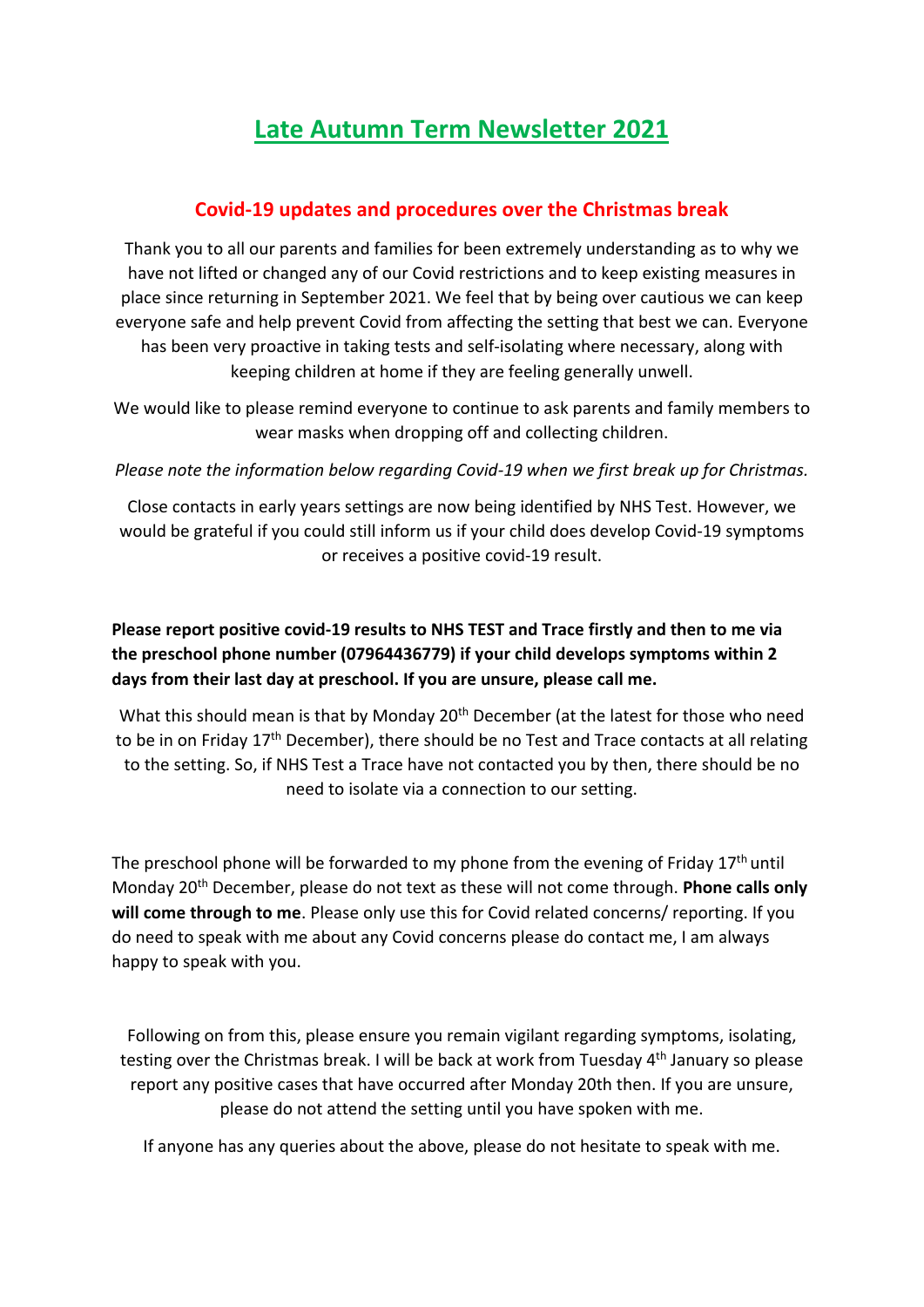# **Late Autumn Term Newsletter 2021**

#### **Covid-19 updates and procedures over the Christmas break**

Thank you to all our parents and families for been extremely understanding as to why we have not lifted or changed any of our Covid restrictions and to keep existing measures in place since returning in September 2021. We feel that by being over cautious we can keep everyone safe and help prevent Covid from affecting the setting that best we can. Everyone has been very proactive in taking tests and self-isolating where necessary, along with keeping children at home if they are feeling generally unwell.

We would like to please remind everyone to continue to ask parents and family members to wear masks when dropping off and collecting children.

*Please note the information below regarding Covid-19 when we first break up for Christmas.* 

Close contacts in early years settings are now being identified by NHS Test. However, we would be grateful if you could still inform us if your child does develop Covid-19 symptoms or receives a positive covid-19 result.

### **Please report positive covid-19 results to NHS TEST and Trace firstly and then to me via the preschool phone number (07964436779) if your child develops symptoms within 2 days from their last day at preschool. If you are unsure, please call me.**

What this should mean is that by Monday 20<sup>th</sup> December (at the latest for those who need to be in on Friday 17th December), there should be no Test and Trace contacts at all relating to the setting. So, if NHS Test a Trace have not contacted you by then, there should be no need to isolate via a connection to our setting.

The preschool phone will be forwarded to my phone from the evening of Friday  $17<sup>th</sup>$  until Monday 20th December, please do not text as these will not come through. **Phone calls only will come through to me**. Please only use this for Covid related concerns/ reporting. If you do need to speak with me about any Covid concerns please do contact me, I am always happy to speak with you.

Following on from this, please ensure you remain vigilant regarding symptoms, isolating, testing over the Christmas break. I will be back at work from Tuesday 4<sup>th</sup> January so please report any positive cases that have occurred after Monday 20th then. If you are unsure, please do not attend the setting until you have spoken with me.

If anyone has any queries about the above, please do not hesitate to speak with me.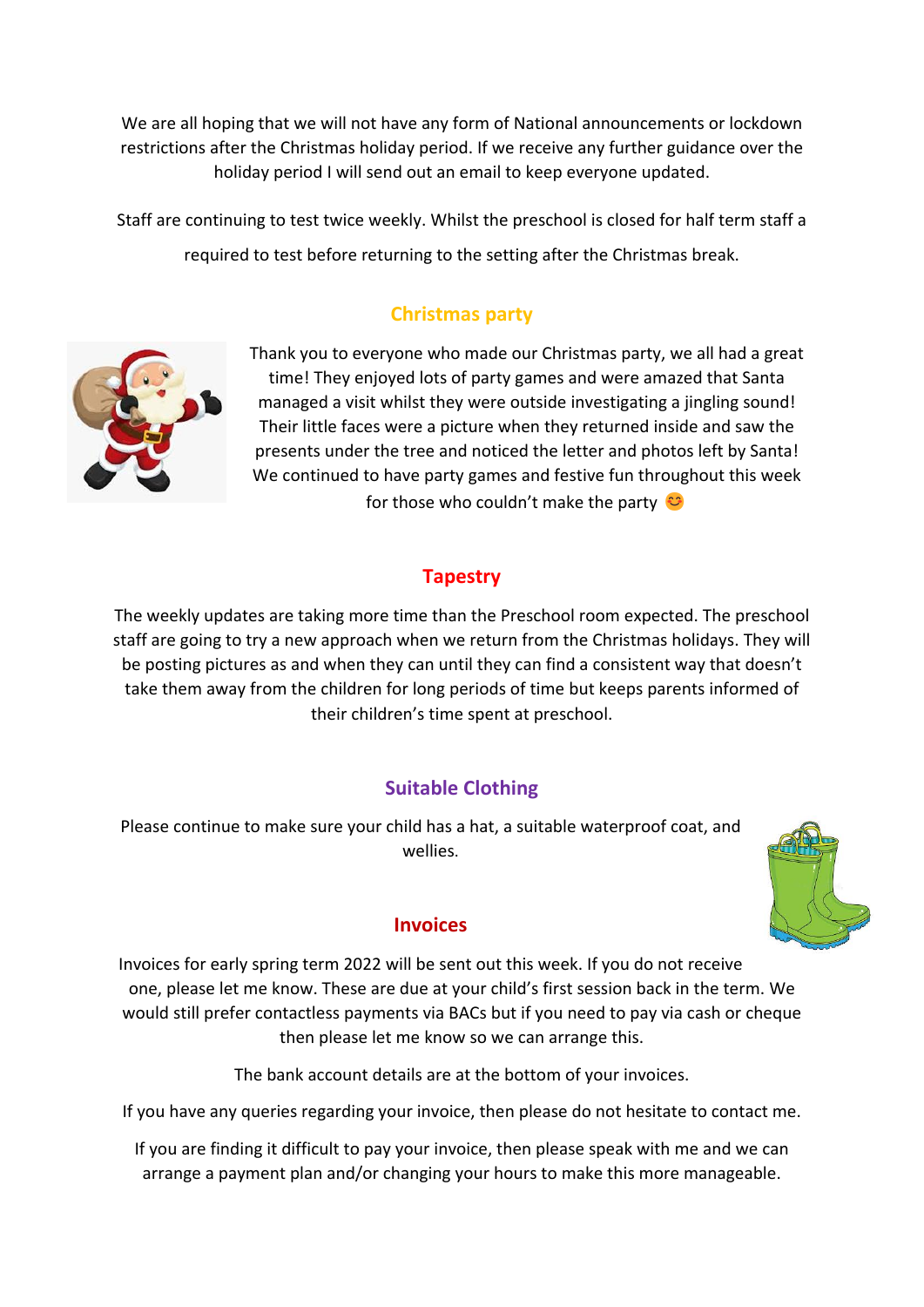We are all hoping that we will not have any form of National announcements or lockdown restrictions after the Christmas holiday period. If we receive any further guidance over the holiday period I will send out an email to keep everyone updated.

Staff are continuing to test twice weekly. Whilst the preschool is closed for half term staff a required to test before returning to the setting after the Christmas break.

# **Christmas party**



Thank you to everyone who made our Christmas party, we all had a great time! They enjoyed lots of party games and were amazed that Santa managed a visit whilst they were outside investigating a jingling sound! Their little faces were a picture when they returned inside and saw the presents under the tree and noticed the letter and photos left by Santa! We continued to have party games and festive fun throughout this week for those who couldn't make the party

# **Tapestry**

The weekly updates are taking more time than the Preschool room expected. The preschool staff are going to try a new approach when we return from the Christmas holidays. They will be posting pictures as and when they can until they can find a consistent way that doesn't take them away from the children for long periods of time but keeps parents informed of their children's time spent at preschool.

# **Suitable Clothing**

Please continue to make sure your child has a hat, a suitable waterproof coat, and wellies.



Invoices for early spring term 2022 will be sent out this week. If you do not receive one, please let me know. These are due at your child's first session back in the term. We would still prefer contactless payments via BACs but if you need to pay via cash or cheque then please let me know so we can arrange this.

The bank account details are at the bottom of your invoices.

If you have any queries regarding your invoice, then please do not hesitate to contact me.

If you are finding it difficult to pay your invoice, then please speak with me and we can arrange a payment plan and/or changing your hours to make this more manageable.

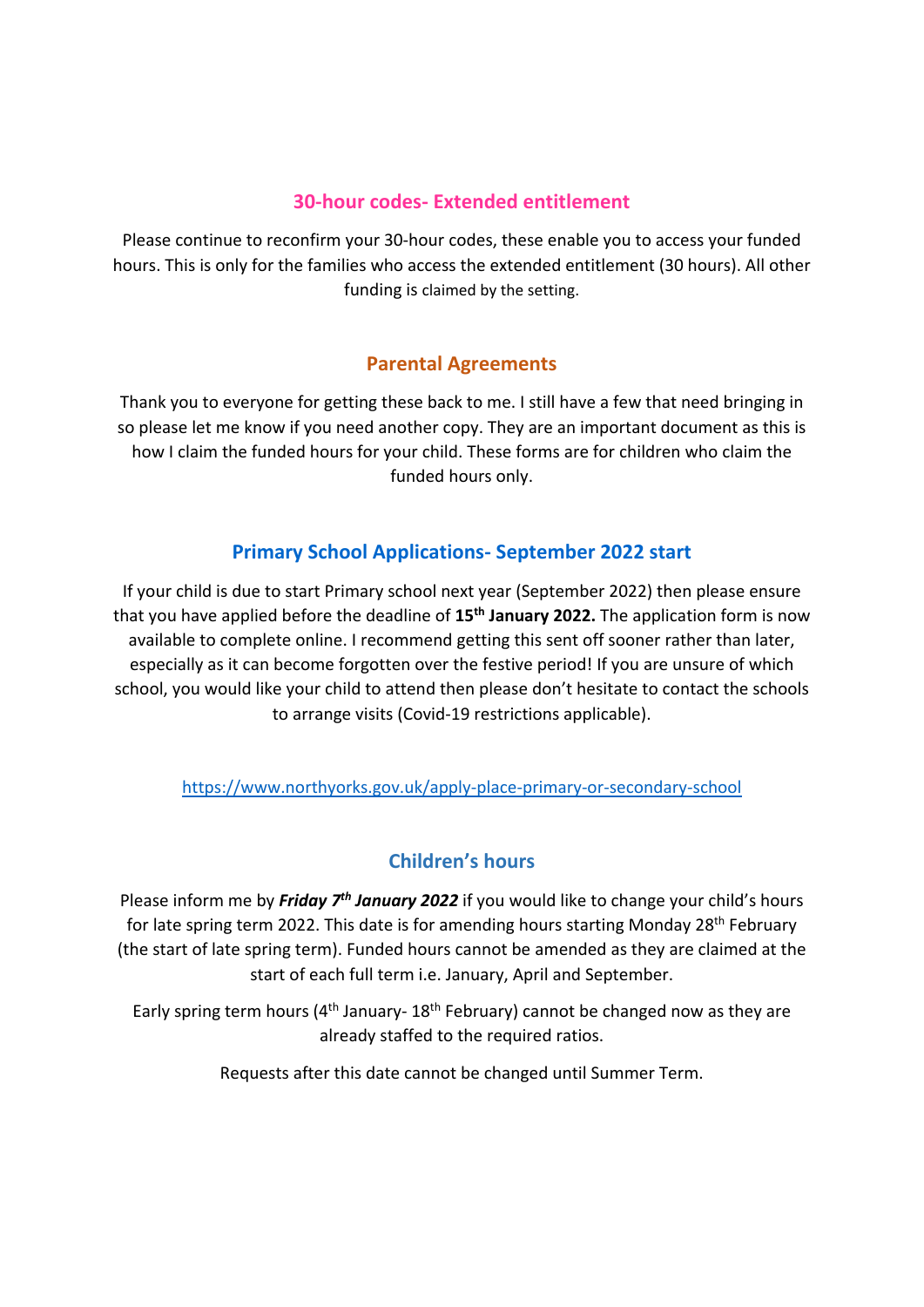#### **30-hour codes- Extended entitlement**

Please continue to reconfirm your 30-hour codes, these enable you to access your funded hours. This is only for the families who access the extended entitlement (30 hours). All other funding is claimed by the setting.

#### **Parental Agreements**

Thank you to everyone for getting these back to me. I still have a few that need bringing in so please let me know if you need another copy. They are an important document as this is how I claim the funded hours for your child. These forms are for children who claim the funded hours only.

# **Primary School Applications- September 2022 start**

If your child is due to start Primary school next year (September 2022) then please ensure that you have applied before the deadline of **15th January 2022.** The application form is now available to complete online. I recommend getting this sent off sooner rather than later, especially as it can become forgotten over the festive period! If you are unsure of which school, you would like your child to attend then please don't hesitate to contact the schools to arrange visits (Covid-19 restrictions applicable).

<https://www.northyorks.gov.uk/apply-place-primary-or-secondary-school>

# **Children's hours**

Please inform me by *Friday 7<sup>th</sup> January 2022* if you would like to change your child's hours for late spring term 2022. This date is for amending hours starting Monday 28<sup>th</sup> February (the start of late spring term). Funded hours cannot be amended as they are claimed at the start of each full term i.e. January, April and September.

Early spring term hours (4<sup>th</sup> January- 18<sup>th</sup> February) cannot be changed now as they are already staffed to the required ratios.

Requests after this date cannot be changed until Summer Term.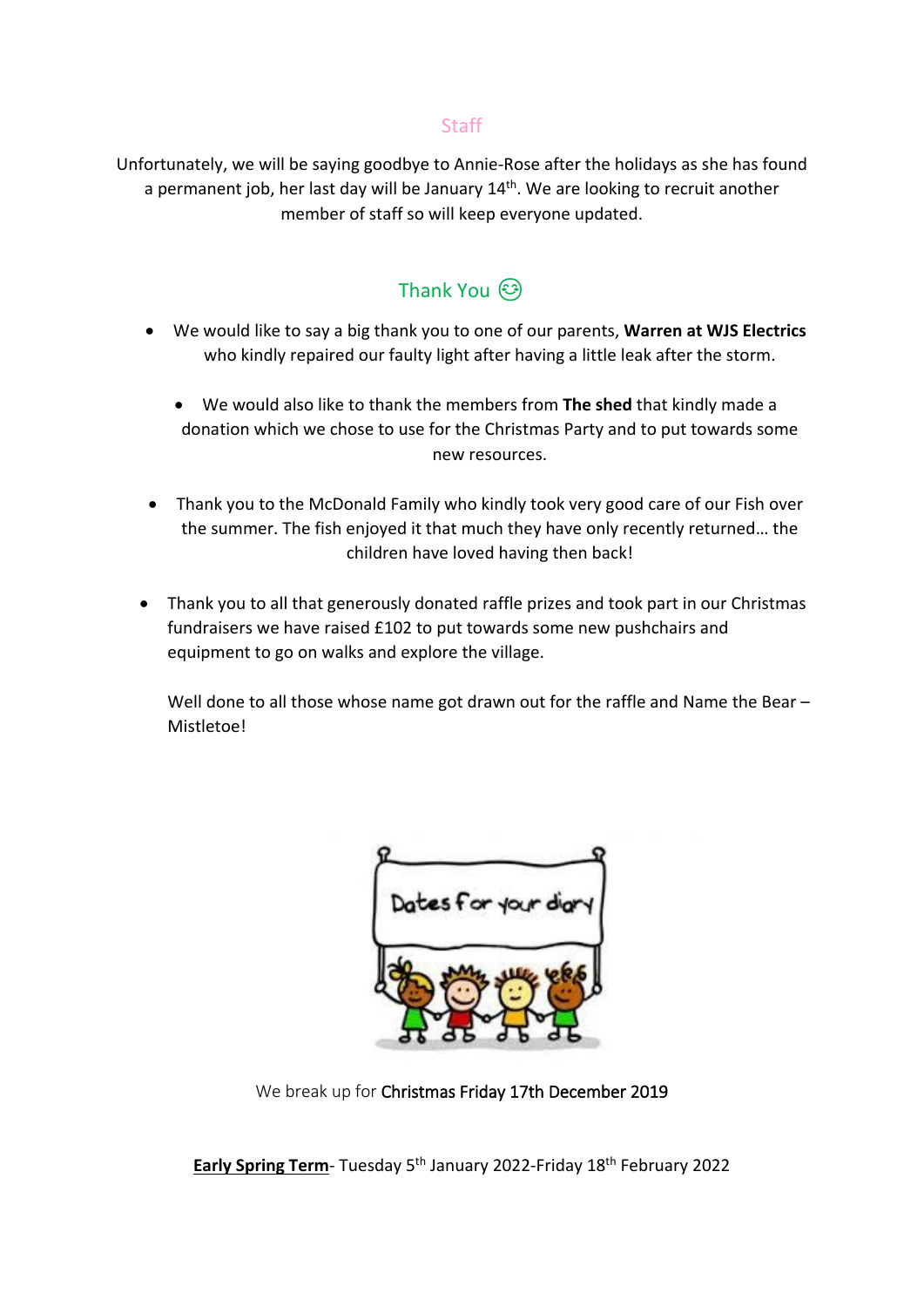#### Staff

Unfortunately, we will be saying goodbye to Annie-Rose after the holidays as she has found a permanent job, her last day will be January  $14<sup>th</sup>$ . We are looking to recruit another member of staff so will keep everyone updated.

# Thank You ۞

- We would like to say a big thank you to one of our parents, **Warren at WJS Electrics** who kindly repaired our faulty light after having a little leak after the storm.
	- We would also like to thank the members from **The shed** that kindly made a donation which we chose to use for the Christmas Party and to put towards some new resources.
- Thank you to the McDonald Family who kindly took very good care of our Fish over the summer. The fish enjoyed it that much they have only recently returned… the children have loved having then back!
- Thank you to all that generously donated raffle prizes and took part in our Christmas fundraisers we have raised £102 to put towards some new pushchairs and equipment to go on walks and explore the village.

Well done to all those whose name got drawn out for the raffle and Name the Bear – Mistletoe!

| es for u | e e c | r dir |
|----------|-------|-------|
|          |       |       |
|          |       |       |

We break up for Christmas Friday 17th December 2019

**Early Spring Term**- Tuesday 5th January 2022-Friday 18th February 2022